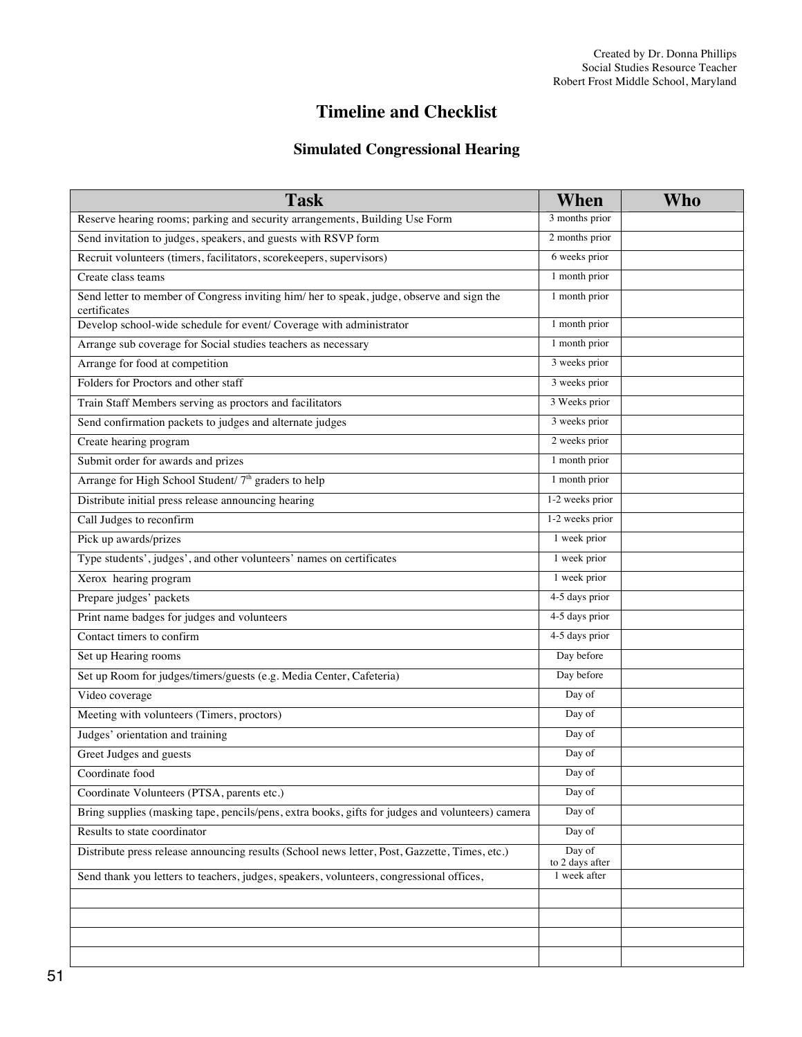# **Timeline and Checklist**

## **Simulated Congressional Hearing**

| <b>Task</b>                                                                                               | When                      | Who |
|-----------------------------------------------------------------------------------------------------------|---------------------------|-----|
| Reserve hearing rooms; parking and security arrangements, Building Use Form                               | 3 months prior            |     |
| Send invitation to judges, speakers, and guests with RSVP form                                            | 2 months prior            |     |
| Recruit volunteers (timers, facilitators, scorekeepers, supervisors)                                      | 6 weeks prior             |     |
| Create class teams                                                                                        | 1 month prior             |     |
| Send letter to member of Congress inviting him/ her to speak, judge, observe and sign the<br>certificates | 1 month prior             |     |
| Develop school-wide schedule for event/ Coverage with administrator                                       | 1 month prior             |     |
| Arrange sub coverage for Social studies teachers as necessary                                             | 1 month prior             |     |
| Arrange for food at competition                                                                           | 3 weeks prior             |     |
| Folders for Proctors and other staff                                                                      | 3 weeks prior             |     |
| Train Staff Members serving as proctors and facilitators                                                  | 3 Weeks prior             |     |
| Send confirmation packets to judges and alternate judges                                                  | 3 weeks prior             |     |
| Create hearing program                                                                                    | 2 weeks prior             |     |
| Submit order for awards and prizes                                                                        | 1 month prior             |     |
| Arrange for High School Student/ 7 <sup>th</sup> graders to help                                          | 1 month prior             |     |
| Distribute initial press release announcing hearing                                                       | 1-2 weeks prior           |     |
| Call Judges to reconfirm                                                                                  | 1-2 weeks prior           |     |
| Pick up awards/prizes                                                                                     | 1 week prior              |     |
| Type students', judges', and other volunteers' names on certificates                                      | 1 week prior              |     |
| Xerox hearing program                                                                                     | 1 week prior              |     |
| Prepare judges' packets                                                                                   | 4-5 days prior            |     |
| Print name badges for judges and volunteers                                                               | 4-5 days prior            |     |
| Contact timers to confirm                                                                                 | 4-5 days prior            |     |
| Set up Hearing rooms                                                                                      | Day before                |     |
| Set up Room for judges/timers/guests (e.g. Media Center, Cafeteria)                                       | Day before                |     |
| Video coverage                                                                                            | Day of                    |     |
| Meeting with volunteers (Timers, proctors)                                                                | Day of                    |     |
| Judges' orientation and training                                                                          | Day of                    |     |
| Greet Judges and guests                                                                                   | Day of                    |     |
| Coordinate food                                                                                           | Day of                    |     |
| Coordinate Volunteers (PTSA, parents etc.)                                                                | Day of                    |     |
| Bring supplies (masking tape, pencils/pens, extra books, gifts for judges and volunteers) camera          | Day of                    |     |
| Results to state coordinator                                                                              | Day of                    |     |
| Distribute press release announcing results (School news letter, Post, Gazzette, Times, etc.)             | Day of<br>to 2 days after |     |
| Send thank you letters to teachers, judges, speakers, volunteers, congressional offices,                  | 1 week after              |     |
|                                                                                                           |                           |     |
|                                                                                                           |                           |     |
|                                                                                                           |                           |     |
|                                                                                                           |                           |     |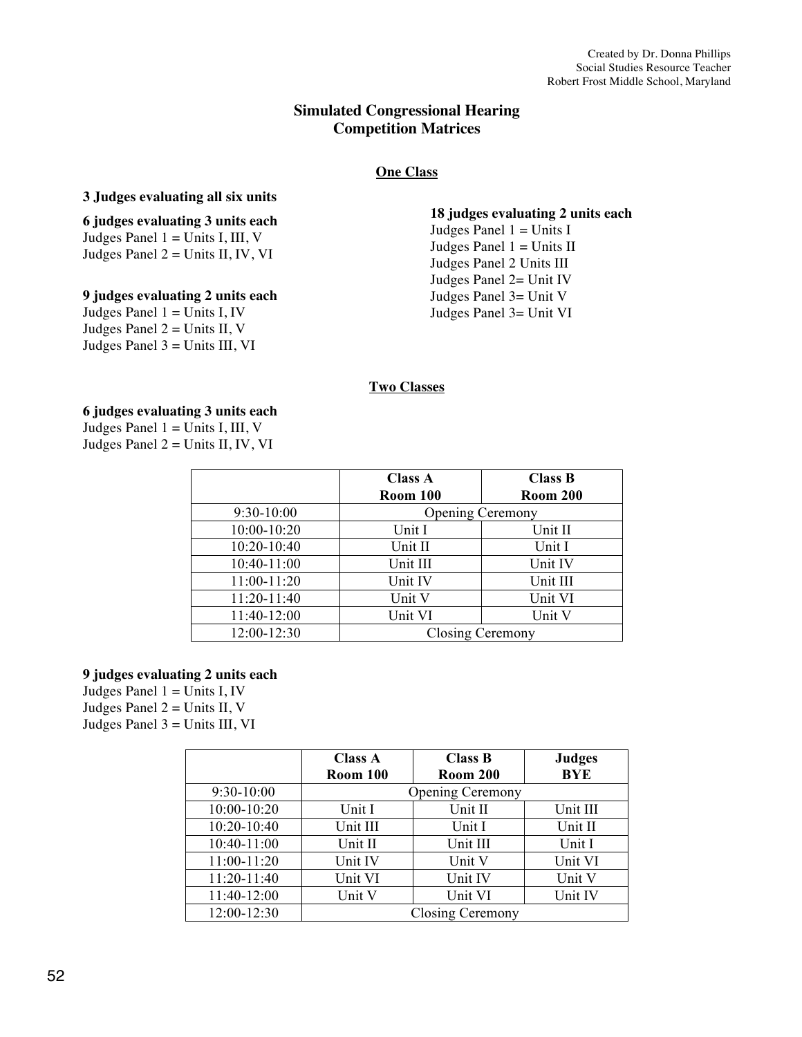## **Simulated Congressional Hearing Competition Matrices**

## **One Class**

#### **3 Judges evaluating all six units**

### **6 judges evaluating 3 units each** Judges Panel  $1 =$  Units I, III, V Judges Panel  $2 =$  Units II, IV, VI

### **9 judges evaluating 2 units each**

Judges Panel  $1 =$  Units I, IV Judges Panel  $2 =$  Units II, V Judges Panel 3 = Units III, VI **18 judges evaluating 2 units each**

Judges Panel  $1 =$  Units I Judges Panel  $1 =$  Units II Judges Panel 2 Units III Judges Panel 2= Unit IV Judges Panel 3= Unit V Judges Panel 3= Unit VI

### **Two Classes**

**6 judges evaluating 3 units each** Judges Panel  $1 =$  Units I, III, V Judges Panel  $2 =$  Units II, IV, VI

|             | <b>Class A</b>          | <b>Class B</b>  |
|-------------|-------------------------|-----------------|
|             | <b>Room 100</b>         | <b>Room 200</b> |
| 9:30-10:00  | <b>Opening Ceremony</b> |                 |
| 10:00-10:20 | Unit I                  | Unit II         |
| 10:20-10:40 | Unit II                 | Unit I          |
| 10:40-11:00 | Unit III                | Unit IV         |
| 11:00-11:20 | Unit IV                 | Unit III        |
| 11:20-11:40 | Unit V                  | Unit VI         |
| 11:40-12:00 | Unit VI                 | Unit V          |
| 12:00-12:30 | Closing Ceremony        |                 |

#### **9 judges evaluating 2 units each**

Judges Panel  $1 =$  Units I, IV Judges Panel  $2 =$  Units II, V Judges Panel  $3 =$  Units III, VI

|              | Class A         | <b>Class B</b>          | <b>Judges</b> |
|--------------|-----------------|-------------------------|---------------|
|              | <b>Room 100</b> | <b>Room 200</b>         | <b>BYE</b>    |
| $9:30-10:00$ |                 | <b>Opening Ceremony</b> |               |
| 10:00-10:20  | Unit I          | Unit II                 | Unit III      |
| 10:20-10:40  | Unit III        | Unit I                  | Unit II       |
| 10:40-11:00  | Unit II         | Unit III                | Unit I        |
| 11:00-11:20  | Unit IV         | Unit V                  | Unit VI       |
| 11:20-11:40  | Unit VI         | Unit IV                 | Unit V        |
| 11:40-12:00  | Unit V          | Unit VI                 | Unit IV       |
| 12:00-12:30  |                 | Closing Ceremony        |               |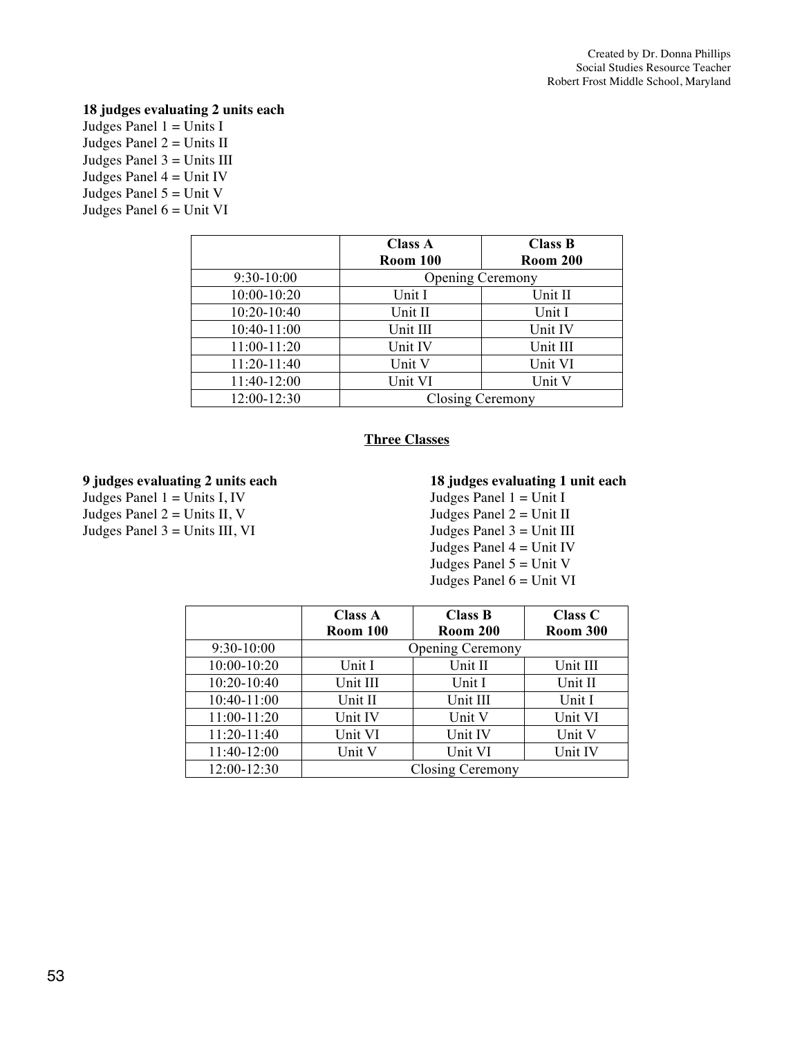## **18 judges evaluating 2 units each**

Judges Panel  $1 =$  Units I Judges Panel  $2 =$  Units II Judges Panel 3 = Units III Judges Panel  $4 =$  Unit IV Judges Panel  $5 =$  Unit V Judges Panel  $6 =$  Unit VI

|              | Class A<br><b>Room 100</b> | <b>Class B</b><br><b>Room 200</b> |
|--------------|----------------------------|-----------------------------------|
| $9:30-10:00$ | <b>Opening Ceremony</b>    |                                   |
| 10:00-10:20  | Unit I                     | Unit II                           |
| 10:20-10:40  | Unit II                    | Unit I                            |
| 10:40-11:00  | Unit III                   | Unit IV                           |
| 11:00-11:20  | Unit IV                    | Unit III                          |
| 11:20-11:40  | Unit V                     | Unit VI                           |
| 11:40-12:00  | Unit VI                    | Unit V                            |
| 12:00-12:30  | Closing Ceremony           |                                   |

## **Three Classes**

#### **9 judges evaluating 2 units each**

Judges Panel  $1 =$  Units I, IV Judges Panel  $2 =$  Units II, V Judges Panel  $3 =$  Units III, VI

#### **18 judges evaluating 1 unit each**

Judges Panel  $1 =$  Unit I Judges Panel  $2 =$  Unit II Judges Panel  $3 =$  Unit III Judges Panel  $4 =$  Unit IV Judges Panel  $5 =$  Unit V Judges Panel  $6 =$  Unit VI

|               | <b>Class A</b>  | <b>Class B</b>          | <b>Class C</b>  |
|---------------|-----------------|-------------------------|-----------------|
|               | <b>Room 100</b> | <b>Room 200</b>         | <b>Room 300</b> |
| $9:30-10:00$  |                 | <b>Opening Ceremony</b> |                 |
| 10:00-10:20   | Unit I          | Unit II                 | Unit III        |
| 10:20-10:40   | Unit III        | Unit I                  | Unit II         |
| 10:40-11:00   | Unit II         | Unit III                | Unit I          |
| 11:00-11:20   | Unit IV         | Unit V                  | Unit VI         |
| 11:20-11:40   | Unit VI         | Unit IV                 | Unit V          |
| 11:40-12:00   | Unit V          | Unit VI                 | Unit IV         |
| $12:00-12:30$ |                 | <b>Closing Ceremony</b> |                 |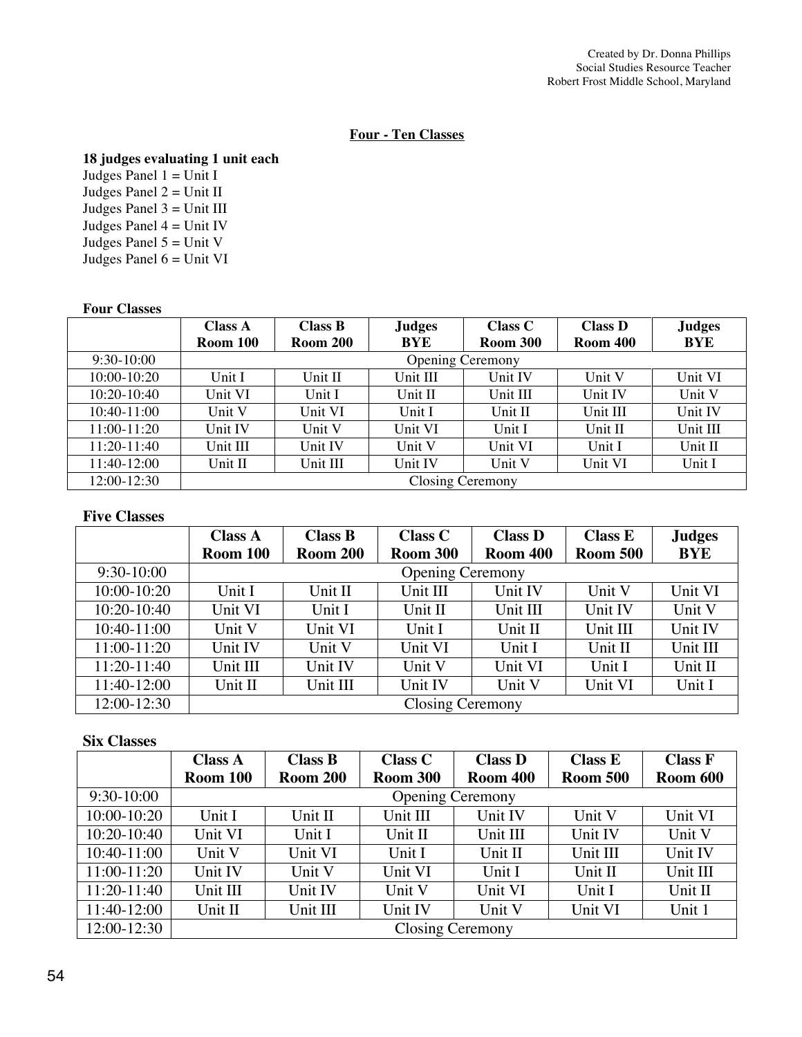#### **Four - Ten Classes**

### **18 judges evaluating 1 unit each**

Judges Panel  $1 =$  Unit I Judges Panel 2 = Unit II Judges Panel  $3 =$  Unit III Judges Panel  $4 =$  Unit IV Judges Panel  $5 =$  Unit V Judges Panel  $6 =$  Unit VI

#### **Four Classes**

|               | Class A  | <b>Class B</b>  | <b>Judges</b> | Class C                 | <b>Class D</b>  | <b>Judges</b> |
|---------------|----------|-----------------|---------------|-------------------------|-----------------|---------------|
|               | Room 100 | <b>Room 200</b> | <b>BYE</b>    | <b>Room 300</b>         | <b>Room 400</b> | <b>BYE</b>    |
| $9:30-10:00$  |          |                 |               | <b>Opening Ceremony</b> |                 |               |
| 10:00-10:20   | Unit I   | Unit II         | Unit III      | Unit IV                 | Unit V          | Unit VI       |
| $10:20-10:40$ | Unit VI  | Unit I          | Unit II       | Unit III                | Unit IV         | Unit V        |
| 10:40-11:00   | Unit V   | Unit VI         | Unit I        | Unit II                 | Unit III        | Unit IV       |
| 11:00-11:20   | Unit IV  | Unit V          | Unit VI       | Unit I                  | Unit II         | Unit III      |
| $11:20-11:40$ | Unit III | Unit IV         | Unit V        | Unit VI                 | Unit I          | Unit II       |
| 11:40-12:00   | Unit II  | Unit III        | Unit IV       | Unit V                  | Unit VI         | Unit I        |
| 12:00-12:30   |          |                 |               | Closing Ceremony        |                 |               |

#### **Five Classes**

|                 | <b>Class A</b>  | <b>Class B</b>  | <b>Class C</b>          | <b>Class D</b>  | Class E         | <b>Judges</b> |
|-----------------|-----------------|-----------------|-------------------------|-----------------|-----------------|---------------|
|                 | <b>Room 100</b> | <b>Room 200</b> | <b>Room 300</b>         | <b>Room 400</b> | <b>Room 500</b> | <b>BYE</b>    |
| $9:30-10:00$    |                 |                 | <b>Opening Ceremony</b> |                 |                 |               |
| $10:00 - 10:20$ | Unit I          | Unit II         | Unit III                | Unit IV         | Unit V          | Unit VI       |
| $10:20-10:40$   | Unit VI         | Unit I          | Unit II                 | Unit III        | Unit IV         | Unit V        |
| 10:40-11:00     | Unit V          | Unit VI         | Unit I                  | Unit II         | Unit III        | Unit IV       |
| 11:00-11:20     | Unit IV         | Unit V          | Unit VI                 | Unit I          | Unit II         | Unit III      |
| 11:20-11:40     | Unit III        | Unit IV         | Unit V                  | Unit VI         | Unit I          | Unit II       |
| 11:40-12:00     | Unit II         | Unit III        | Unit IV                 | Unit V          | Unit VI         | Unit I        |
| 12:00-12:30     |                 |                 | <b>Closing Ceremony</b> |                 |                 |               |

#### **Six Classes**

|                 | <b>Class A</b>  | Class B         | <b>Class C</b>  | <b>Class D</b>          | Class E         | <b>Class F</b> |
|-----------------|-----------------|-----------------|-----------------|-------------------------|-----------------|----------------|
|                 | <b>Room 100</b> | <b>Room 200</b> | <b>Room 300</b> | <b>Room 400</b>         | <b>Room 500</b> | Room 600       |
| $9:30-10:00$    |                 |                 |                 | <b>Opening Ceremony</b> |                 |                |
| $10:00 - 10:20$ | Unit I          | Unit II         | Unit III        | Unit IV                 | Unit V          | Unit VI        |
| $10:20-10:40$   | Unit VI         | Unit I          | Unit II         | Unit III                | Unit IV         | Unit V         |
| $10:40-11:00$   | Unit V          | Unit VI         | Unit I          | Unit II                 | Unit III        | Unit IV        |
| 11:00-11:20     | Unit IV         | Unit V          | Unit VI         | Unit I                  | Unit II         | Unit III       |
| 11:20-11:40     | Unit III        | Unit IV         | Unit V          | Unit VI                 | Unit I          | Unit II        |
| 11:40-12:00     | Unit II         | Unit III        | Unit IV         | Unit V                  | Unit VI         | Unit 1         |
| 12:00-12:30     |                 |                 |                 | <b>Closing Ceremony</b> |                 |                |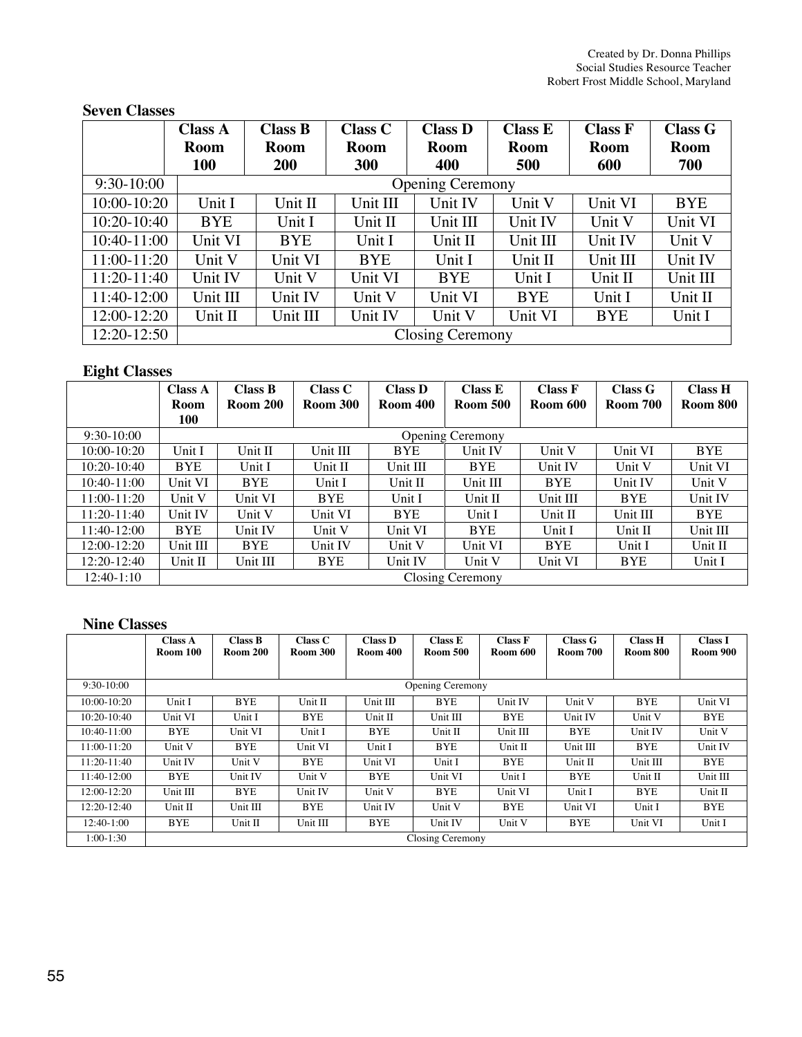## **Seven Classes**

|              | <b>Class A</b> | Class B     | <b>Class C</b> | <b>Class D</b>          | <b>Class E</b> | <b>Class F</b> | <b>Class G</b> |
|--------------|----------------|-------------|----------------|-------------------------|----------------|----------------|----------------|
|              | <b>Room</b>    | <b>Room</b> | Room           | Room                    | <b>Room</b>    | <b>Room</b>    | Room           |
|              | <b>100</b>     | <b>200</b>  | 300            | 400                     | 500            | 600            | 700            |
| $9:30-10:00$ |                |             |                | <b>Opening Ceremony</b> |                |                |                |
| 10:00-10:20  | Unit I         | Unit II     | Unit III       | Unit IV                 | Unit V         | Unit VI        | <b>BYE</b>     |
| 10:20-10:40  | <b>BYE</b>     | Unit I      | Unit II        | Unit III                | Unit IV        | Unit V         | Unit VI        |
| 10:40-11:00  | Unit VI        | <b>BYE</b>  | Unit I         | Unit II                 | Unit III       | Unit IV        | Unit V         |
| 11:00-11:20  | Unit V         | Unit VI     | <b>BYE</b>     | Unit I                  | Unit II        | Unit III       | Unit IV        |
| 11:20-11:40  | Unit IV        | Unit V      | Unit VI        | <b>BYE</b>              | Unit I         | Unit II        | Unit III       |
| 11:40-12:00  | Unit III       | Unit IV     | Unit V         | Unit VI                 | <b>BYE</b>     | Unit I         | Unit II        |
| 12:00-12:20  | Unit II        | Unit III    | Unit IV        | Unit V                  | Unit VI        | <b>BYE</b>     | Unit I         |
| 12:20-12:50  |                |             |                | <b>Closing Ceremony</b> |                |                |                |

## **Eight Classes**

| $\tilde{}$      | <b>Class A</b> | <b>Class B</b>  | Class C         | <b>Class D</b>  | <b>Class E</b>          | <b>Class F</b>  | Class G         | <b>Class H</b>  |
|-----------------|----------------|-----------------|-----------------|-----------------|-------------------------|-----------------|-----------------|-----------------|
|                 | <b>Room</b>    | <b>Room 200</b> | <b>Room 300</b> | <b>Room 400</b> | <b>Room 500</b>         | <b>Room 600</b> | <b>Room 700</b> | <b>Room 800</b> |
|                 | 100            |                 |                 |                 |                         |                 |                 |                 |
| $9:30-10:00$    |                |                 |                 |                 | <b>Opening Ceremony</b> |                 |                 |                 |
| $10:00 - 10:20$ | Unit I         | Unit II         | Unit III        | <b>BYE</b>      | Unit IV                 | Unit V          | Unit VI         | <b>BYE</b>      |
| $10:20-10:40$   | <b>BYE</b>     | Unit I          | Unit II         | Unit III        | <b>BYE</b>              | Unit IV         | Unit V          | Unit VI         |
| 10:40-11:00     | Unit VI        | <b>BYE</b>      | Unit I          | Unit II         | Unit III                | <b>BYE</b>      | Unit IV         | Unit V          |
| $11:00-11:20$   | Unit V         | Unit VI         | <b>BYE</b>      | Unit I          | Unit II                 | Unit III        | <b>BYE</b>      | Unit IV         |
| 11:20-11:40     | Unit IV        | Unit V          | Unit VI         | <b>BYE</b>      | Unit I                  | Unit II         | Unit III        | <b>BYE</b>      |
| $11:40-12:00$   | <b>BYE</b>     | <b>Unit IV</b>  | Unit V          | Unit VI         | <b>BYE</b>              | Unit I          | Unit II         | Unit III        |
| $12:00-12:20$   | Unit III       | <b>BYE</b>      | <b>Unit IV</b>  | Unit V          | Unit VI                 | <b>BYE</b>      | Unit I          | Unit II         |
| $12:20-12:40$   | Unit II        | Unit III        | <b>BYE</b>      | Unit IV         | Unit V                  | Unit VI         | <b>BYE</b>      | Unit I          |
| $12:40-1:10$    |                |                 |                 |                 | Closing Ceremony        |                 |                 |                 |

## **Nine Classes**

|                 | <b>Class A</b><br>Room 100 | <b>Class B</b><br><b>Room 200</b> | Class C<br><b>Room 300</b> | <b>Class D</b><br><b>Room 400</b> | Class E<br><b>Room 500</b> | <b>Class F</b><br><b>Room 600</b> | Class G<br><b>Room 700</b> | <b>Class H</b><br><b>Room 800</b> | <b>Class I</b><br><b>Room 900</b> |
|-----------------|----------------------------|-----------------------------------|----------------------------|-----------------------------------|----------------------------|-----------------------------------|----------------------------|-----------------------------------|-----------------------------------|
|                 |                            |                                   |                            |                                   |                            |                                   |                            |                                   |                                   |
| $9:30-10:00$    |                            |                                   |                            |                                   | <b>Opening Ceremony</b>    |                                   |                            |                                   |                                   |
| $10:00 - 10:20$ | Unit I                     | <b>BYE</b>                        | Unit II                    | Unit III                          | <b>BYE</b>                 | Unit IV                           | Unit V                     | <b>BYE</b>                        | Unit VI                           |
| $10:20-10:40$   | Unit VI                    | Unit I                            | <b>BYE</b>                 | Unit II                           | Unit III                   | <b>BYE</b>                        | Unit IV                    | Unit V                            | <b>BYE</b>                        |
| 10:40-11:00     | <b>BYE</b>                 | Unit VI                           | Unit I                     | <b>BYE</b>                        | Unit II                    | Unit III                          | <b>BYE</b>                 | Unit IV                           | Unit V                            |
| 11:00-11:20     | Unit V                     | <b>BYE</b>                        | Unit VI                    | Unit I                            | <b>BYE</b>                 | Unit II                           | Unit III                   | <b>BYE</b>                        | Unit IV                           |
| 11:20-11:40     | Unit IV                    | Unit V                            | <b>BYE</b>                 | Unit VI                           | Unit I                     | <b>BYE</b>                        | Unit II                    | Unit III                          | <b>BYE</b>                        |
| 11:40-12:00     | BYE                        | Unit IV                           | Unit V                     | <b>BYE</b>                        | Unit VI                    | Unit I                            | <b>BYE</b>                 | Unit II                           | Unit III                          |
| $12:00-12:20$   | Unit III                   | <b>BYE</b>                        | Unit IV                    | Unit V                            | <b>BYE</b>                 | Unit VI                           | Unit I                     | <b>BYE</b>                        | Unit II                           |
| 12:20-12:40     | Unit II                    | Unit III                          | <b>BYE</b>                 | Unit IV                           | Unit V                     | <b>BYE</b>                        | Unit VI                    | Unit I                            | <b>BYE</b>                        |
| 12:40-1:00      | <b>BYE</b>                 | Unit II                           | Unit III                   | <b>BYE</b>                        | Unit IV                    | Unit V                            | BYE                        | Unit VI                           | Unit I                            |
| $1:00-1:30$     |                            |                                   |                            |                                   | Closing Ceremony           |                                   |                            |                                   |                                   |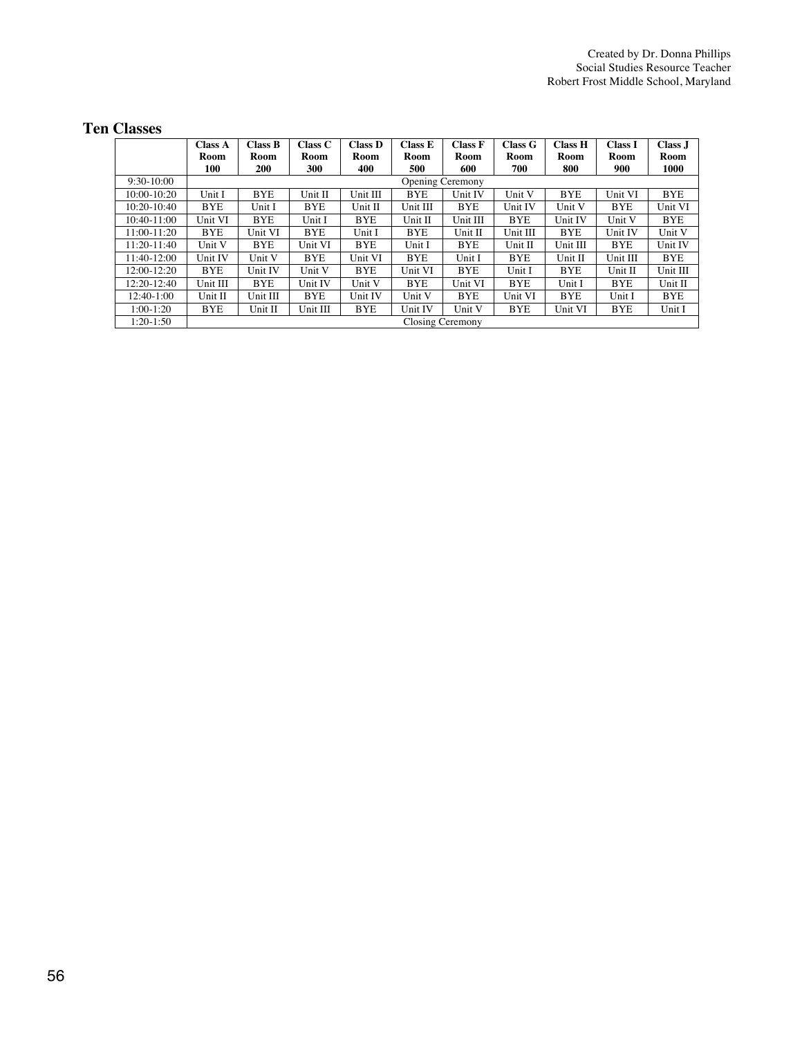## **Ten Classes**

|                 | <b>Class A</b> | Class B    | Class C    | <b>Class D</b> | Class E    | Class F          | Class G    | <b>Class H</b> | <b>Class I</b> | Class J    |
|-----------------|----------------|------------|------------|----------------|------------|------------------|------------|----------------|----------------|------------|
|                 | Room           | Room       | Room       | Room           | Room       | Room             | Room       | Room           | Room           | Room       |
|                 | 100            | <b>200</b> | 300        | 400            | 500        | 600              | 700        | 800            | 900            | 1000       |
| $9:30-10:00$    |                |            |            |                |            | Opening Ceremony |            |                |                |            |
| $10:00 - 10:20$ | Unit I         | <b>BYE</b> | Unit II    | Unit III       | <b>BYE</b> | Unit IV          | Unit V     | <b>BYE</b>     | Unit VI        | <b>BYE</b> |
| $10:20-10:40$   | <b>BYE</b>     | Unit I     | <b>BYE</b> | Unit II        | Unit III   | <b>BYE</b>       | Unit IV    | Unit V         | <b>BYE</b>     | Unit VI    |
| 10:40-11:00     | Unit VI        | <b>BYE</b> | Unit I     | <b>BYE</b>     | Unit II    | Unit III         | <b>BYE</b> | Unit IV        | Unit V         | <b>BYE</b> |
| $11:00-11:20$   | <b>BYE</b>     | Unit VI    | <b>BYE</b> | Unit I         | <b>BYE</b> | Unit II          | Unit III   | <b>BYE</b>     | Unit IV        | Unit V     |
| 11:20-11:40     | Unit V         | <b>BYE</b> | Unit VI    | <b>BYE</b>     | Unit I     | BYE              | Unit II    | Unit III       | <b>BYE</b>     | Unit IV    |
| 11:40-12:00     | Unit IV        | Unit V     | <b>BYE</b> | Unit VI        | <b>BYE</b> | Unit I           | <b>BYE</b> | Unit II        | Unit III       | <b>BYE</b> |
| 12:00-12:20     | <b>BYE</b>     | Unit IV    | Unit V     | <b>BYE</b>     | Unit VI    | <b>BYE</b>       | Unit I     | <b>BYE</b>     | Unit II        | Unit III   |
| $12:20-12:40$   | Unit III       | <b>BYE</b> | Unit IV    | Unit V         | <b>BYE</b> | Unit VI          | <b>BYE</b> | Unit I         | <b>BYE</b>     | Unit II    |
| 12:40-1:00      | Unit II        | Unit III   | <b>BYE</b> | Unit IV        | Unit V     | BYE              | Unit VI    | <b>BYE</b>     | Unit I         | <b>BYE</b> |
| $1:00-1:20$     | <b>BYE</b>     | Unit II    | Unit III   | <b>BYE</b>     | Unit IV    | Unit V           | <b>BYE</b> | Unit VI        | <b>BYE</b>     | Unit I     |
| $1:20-1:50$     |                |            |            |                |            | Closing Ceremony |            |                |                |            |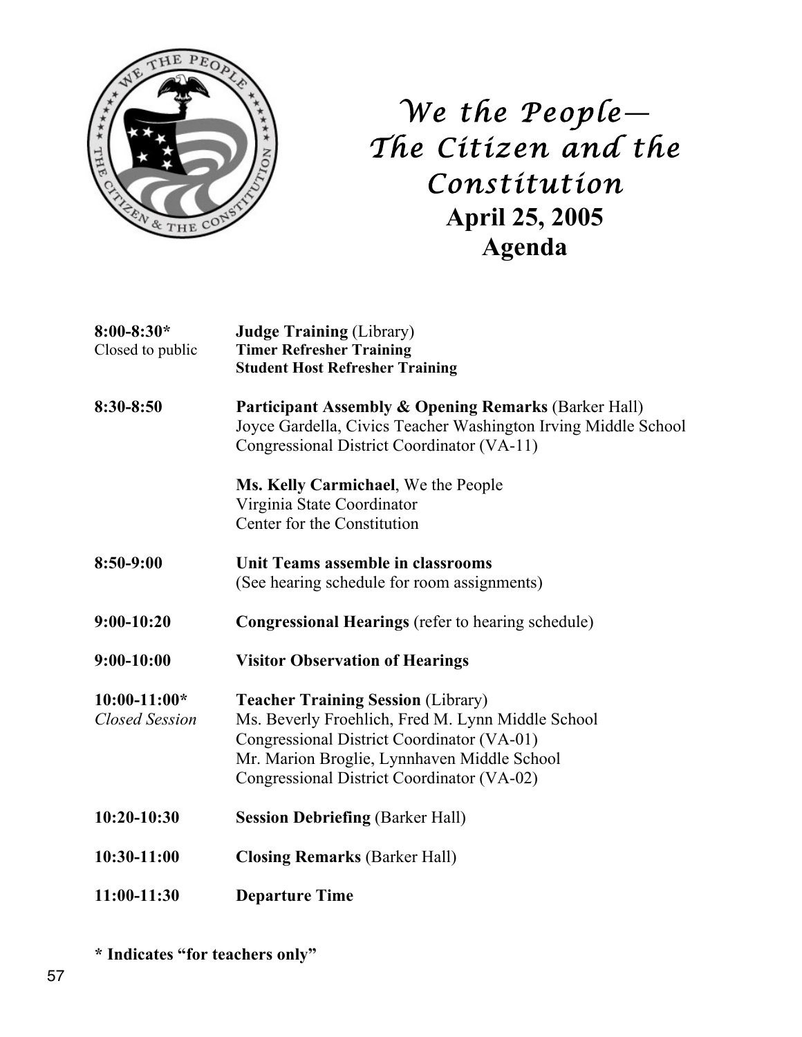

*We the People— The Citizen and the Constitution*  **April 25, 2005 Agenda**

| $8:00 - 8:30*$<br>Closed to public      | <b>Judge Training (Library)</b><br><b>Timer Refresher Training</b><br><b>Student Host Refresher Training</b>                                                                                                                              |  |  |
|-----------------------------------------|-------------------------------------------------------------------------------------------------------------------------------------------------------------------------------------------------------------------------------------------|--|--|
| 8:30-8:50                               | <b>Participant Assembly &amp; Opening Remarks (Barker Hall)</b><br>Joyce Gardella, Civics Teacher Washington Irving Middle School<br>Congressional District Coordinator (VA-11)                                                           |  |  |
|                                         | Ms. Kelly Carmichael, We the People<br>Virginia State Coordinator<br>Center for the Constitution                                                                                                                                          |  |  |
| 8:50-9:00                               | Unit Teams assemble in classrooms<br>(See hearing schedule for room assignments)                                                                                                                                                          |  |  |
| $9:00-10:20$                            | <b>Congressional Hearings</b> (refer to hearing schedule)                                                                                                                                                                                 |  |  |
| $9:00-10:00$                            | <b>Visitor Observation of Hearings</b>                                                                                                                                                                                                    |  |  |
| $10:00-11:00*$<br><b>Closed Session</b> | <b>Teacher Training Session (Library)</b><br>Ms. Beverly Froehlich, Fred M. Lynn Middle School<br>Congressional District Coordinator (VA-01)<br>Mr. Marion Broglie, Lynnhaven Middle School<br>Congressional District Coordinator (VA-02) |  |  |
| $10:20-10:30$                           | <b>Session Debriefing (Barker Hall)</b>                                                                                                                                                                                                   |  |  |
| 10:30-11:00                             | <b>Closing Remarks (Barker Hall)</b>                                                                                                                                                                                                      |  |  |
| 11:00-11:30                             | <b>Departure Time</b>                                                                                                                                                                                                                     |  |  |

**\* Indicates "for teachers only"**